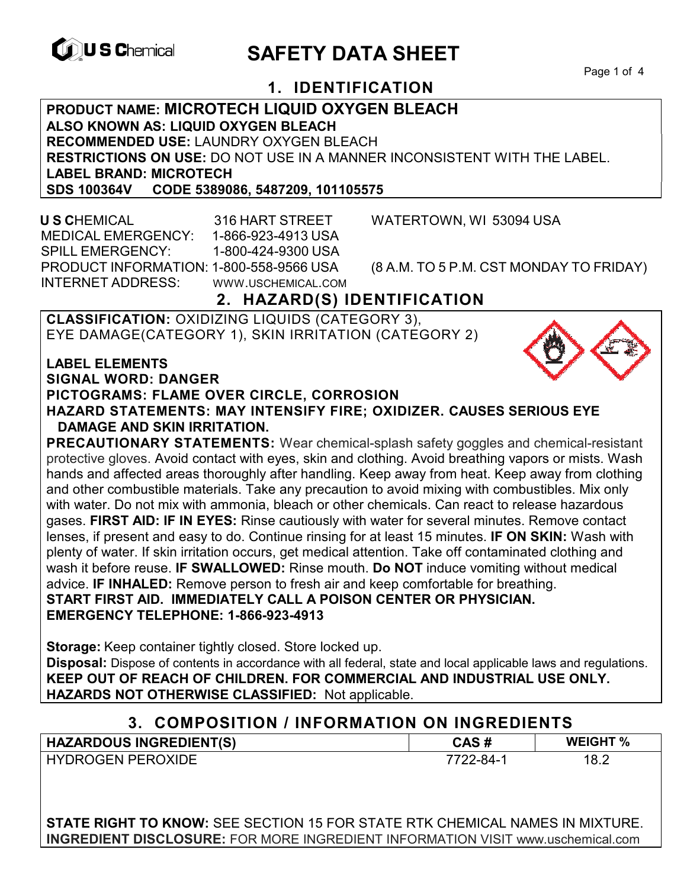

# **EXAGREM** SAFETY DATA SHEET

Page 1 of 4

## **1. IDENTIFICATION**

**PRODUCT NAME: MICROTECH LIQUID OXYGEN BLEACH ALSO KNOWN AS: LIQUID OXYGEN BLEACH RECOMMENDED USE:** LAUNDRY OXYGEN BLEACH **RESTRICTIONS ON USE:** DO NOT USE IN A MANNER INCONSISTENT WITH THE LABEL. **LABEL BRAND: MICROTECH SDS 100364V CODE 5389086, 5487209, 101105575** 

 **U S C**HEMICAL 316 HART STREET WATERTOWN, WI 53094 USA MEDICAL EMERGENCY: 1-866-923-4913 USA SPILL EMERGENCY: 1-800-424-9300 USA PRODUCT INFORMATION: 1-800-558-9566 USA (8 A.M. TO 5 P.M. CST MONDAY TO FRIDAY) INTERNET ADDRESS: WWW.USCHEMICAL.COM

## **2. HAZARD(S) IDENTIFICATION**

**CLASSIFICATION:** OXIDIZING LIQUIDS (CATEGORY 3), EYE DAMAGE(CATEGORY 1), SKIN IRRITATION (CATEGORY 2)

**LABEL ELEMENTS** 

**SIGNAL WORD: DANGER**

**PICTOGRAMS: FLAME OVER CIRCLE, CORROSION**

**HAZARD STATEMENTS: MAY INTENSIFY FIRE; OXIDIZER. CAUSES SERIOUS EYE DAMAGE AND SKIN IRRITATION.** 

**PRECAUTIONARY STATEMENTS:** Wear chemical-splash safety goggles and chemical-resistant protective gloves. Avoid contact with eyes, skin and clothing. Avoid breathing vapors or mists. Wash hands and affected areas thoroughly after handling. Keep away from heat. Keep away from clothing and other combustible materials. Take any precaution to avoid mixing with combustibles. Mix only with water. Do not mix with ammonia, bleach or other chemicals. Can react to release hazardous gases. **FIRST AID: IF IN EYES:** Rinse cautiously with water for several minutes. Remove contact lenses, if present and easy to do. Continue rinsing for at least 15 minutes. **IF ON SKIN:** Wash with plenty of water. If skin irritation occurs, get medical attention. Take off contaminated clothing and wash it before reuse. **IF SWALLOWED:** Rinse mouth. **Do NOT** induce vomiting without medical advice. **IF INHALED:** Remove person to fresh air and keep comfortable for breathing. **START FIRST AID. IMMEDIATELY CALL A POISON CENTER OR PHYSICIAN. EMERGENCY TELEPHONE: 1-866-923-4913**

**Storage:** Keep container tightly closed. Store locked up. **Disposal:** Dispose of contents in accordance with all federal, state and local applicable laws and regulations. **KEEP OUT OF REACH OF CHILDREN. FOR COMMERCIAL AND INDUSTRIAL USE ONLY. HAZARDS NOT OTHERWISE CLASSIFIED:** Not applicable.

## **3. COMPOSITION / INFORMATION ON INGREDIENTS**

| <b>HAZARDOUS INGREDIENT(S)</b> | CAS#          | <b>WEIGHT %</b> |
|--------------------------------|---------------|-----------------|
| <b>HYDROGEN PEROXIDE</b>       | $7722 - 84 -$ | 18.2            |

**STATE RIGHT TO KNOW:** SEE SECTION 15 FOR STATE RTK CHEMICAL NAMES IN MIXTURE. **INGREDIENT DISCLOSURE:** FOR MORE INGREDIENT INFORMATION VISIT www.uschemical.com

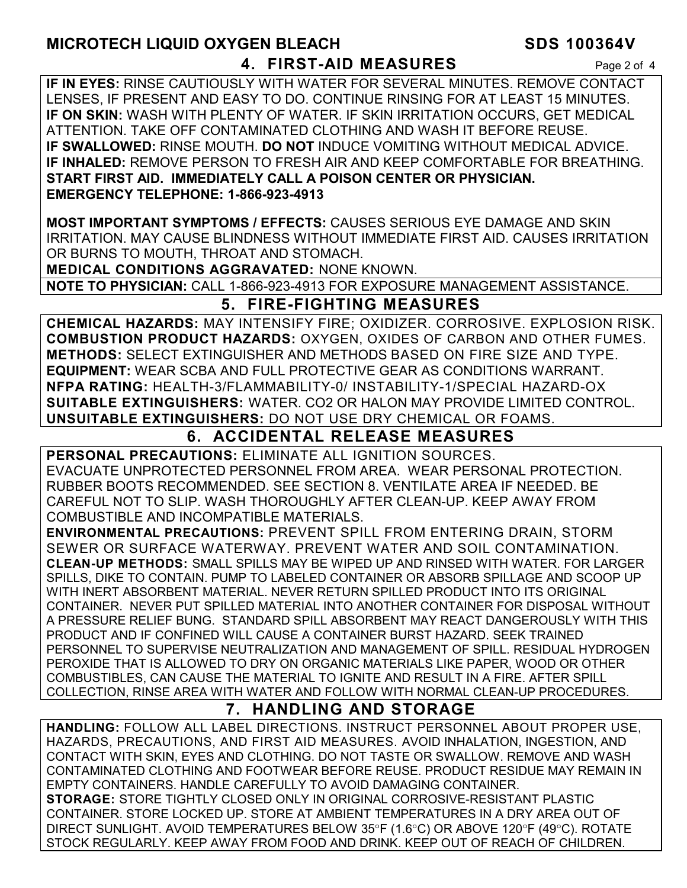## **MICROTECH LIQUID OXYGEN BLEACH SDS 100364V 4. FIRST-AID MEASURES** Page 2 of 4

**IF IN EYES:** RINSE CAUTIOUSLY WITH WATER FOR SEVERAL MINUTES. REMOVE CONTACT LENSES, IF PRESENT AND EASY TO DO. CONTINUE RINSING FOR AT LEAST 15 MINUTES. **IF ON SKIN:** WASH WITH PLENTY OF WATER. IF SKIN IRRITATION OCCURS, GET MEDICAL ATTENTION. TAKE OFF CONTAMINATED CLOTHING AND WASH IT BEFORE REUSE. **IF SWALLOWED:** RINSE MOUTH. **DO NOT** INDUCE VOMITING WITHOUT MEDICAL ADVICE. **IF INHALED:** REMOVE PERSON TO FRESH AIR AND KEEP COMFORTABLE FOR BREATHING. **START FIRST AID. IMMEDIATELY CALL A POISON CENTER OR PHYSICIAN. EMERGENCY TELEPHONE: 1-866-923-4913** 

**MOST IMPORTANT SYMPTOMS / EFFECTS:** CAUSES SERIOUS EYE DAMAGE AND SKIN IRRITATION. MAY CAUSE BLINDNESS WITHOUT IMMEDIATE FIRST AID. CAUSES IRRITATION OR BURNS TO MOUTH, THROAT AND STOMACH.

**MEDICAL CONDITIONS AGGRAVATED:** NONE KNOWN.

**NOTE TO PHYSICIAN:** CALL 1-866-923-4913 FOR EXPOSURE MANAGEMENT ASSISTANCE.

## **5. FIRE-FIGHTING MEASURES**

**CHEMICAL HAZARDS:** MAY INTENSIFY FIRE; OXIDIZER. CORROSIVE. EXPLOSION RISK. **COMBUSTION PRODUCT HAZARDS:** OXYGEN, OXIDES OF CARBON AND OTHER FUMES. **METHODS:** SELECT EXTINGUISHER AND METHODS BASED ON FIRE SIZE AND TYPE. **EQUIPMENT:** WEAR SCBA AND FULL PROTECTIVE GEAR AS CONDITIONS WARRANT. **NFPA RATING:** HEALTH-3/FLAMMABILITY-0/ INSTABILITY-1/SPECIAL HAZARD-OX **SUITABLE EXTINGUISHERS:** WATER. CO2 OR HALON MAY PROVIDE LIMITED CONTROL. **UNSUITABLE EXTINGUISHERS:** DO NOT USE DRY CHEMICAL OR FOAMS.

## **6. ACCIDENTAL RELEASE MEASURES**

**PERSONAL PRECAUTIONS:** ELIMINATE ALL IGNITION SOURCES. EVACUATE UNPROTECTED PERSONNEL FROM AREA. WEAR PERSONAL PROTECTION. RUBBER BOOTS RECOMMENDED. SEE SECTION 8. VENTILATE AREA IF NEEDED. BE CAREFUL NOT TO SLIP. WASH THOROUGHLY AFTER CLEAN-UP. KEEP AWAY FROM COMBUSTIBLE AND INCOMPATIBLE MATERIALS.

**ENVIRONMENTAL PRECAUTIONS:** PREVENT SPILL FROM ENTERING DRAIN, STORM SEWER OR SURFACE WATERWAY. PREVENT WATER AND SOIL CONTAMINATION. **CLEAN-UP METHODS:** SMALL SPILLS MAY BE WIPED UP AND RINSED WITH WATER. FOR LARGER SPILLS, DIKE TO CONTAIN. PUMP TO LABELED CONTAINER OR ABSORB SPILLAGE AND SCOOP UP WITH INERT ABSORBENT MATERIAL. NEVER RETURN SPILLED PRODUCT INTO ITS ORIGINAL CONTAINER. NEVER PUT SPILLED MATERIAL INTO ANOTHER CONTAINER FOR DISPOSAL WITHOUT A PRESSURE RELIEF BUNG. STANDARD SPILL ABSORBENT MAY REACT DANGEROUSLY WITH THIS PRODUCT AND IF CONFINED WILL CAUSE A CONTAINER BURST HAZARD. SEEK TRAINED PERSONNEL TO SUPERVISE NEUTRALIZATION AND MANAGEMENT OF SPILL. RESIDUAL HYDROGEN PEROXIDE THAT IS ALLOWED TO DRY ON ORGANIC MATERIALS LIKE PAPER, WOOD OR OTHER COMBUSTIBLES, CAN CAUSE THE MATERIAL TO IGNITE AND RESULT IN A FIRE. AFTER SPILL COLLECTION, RINSE AREA WITH WATER AND FOLLOW WITH NORMAL CLEAN-UP PROCEDURES.

## **7. HANDLING AND STORAGE**

**HANDLING:** FOLLOW ALL LABEL DIRECTIONS. INSTRUCT PERSONNEL ABOUT PROPER USE, HAZARDS, PRECAUTIONS, AND FIRST AID MEASURES. AVOID INHALATION, INGESTION, AND CONTACT WITH SKIN, EYES AND CLOTHING. DO NOT TASTE OR SWALLOW. REMOVE AND WASH CONTAMINATED CLOTHING AND FOOTWEAR BEFORE REUSE. PRODUCT RESIDUE MAY REMAIN IN EMPTY CONTAINERS. HANDLE CAREFULLY TO AVOID DAMAGING CONTAINER. **STORAGE:** STORE TIGHTLY CLOSED ONLY IN ORIGINAL CORROSIVE-RESISTANT PLASTIC CONTAINER. STORE LOCKED UP. STORE AT AMBIENT TEMPERATURES IN A DRY AREA OUT OF DIRECT SUNLIGHT. AVOID TEMPERATURES BELOW 35°F (1.6°C) OR ABOVE 120°F (49°C). ROTATE STOCK REGULARLY. KEEP AWAY FROM FOOD AND DRINK. KEEP OUT OF REACH OF CHILDREN.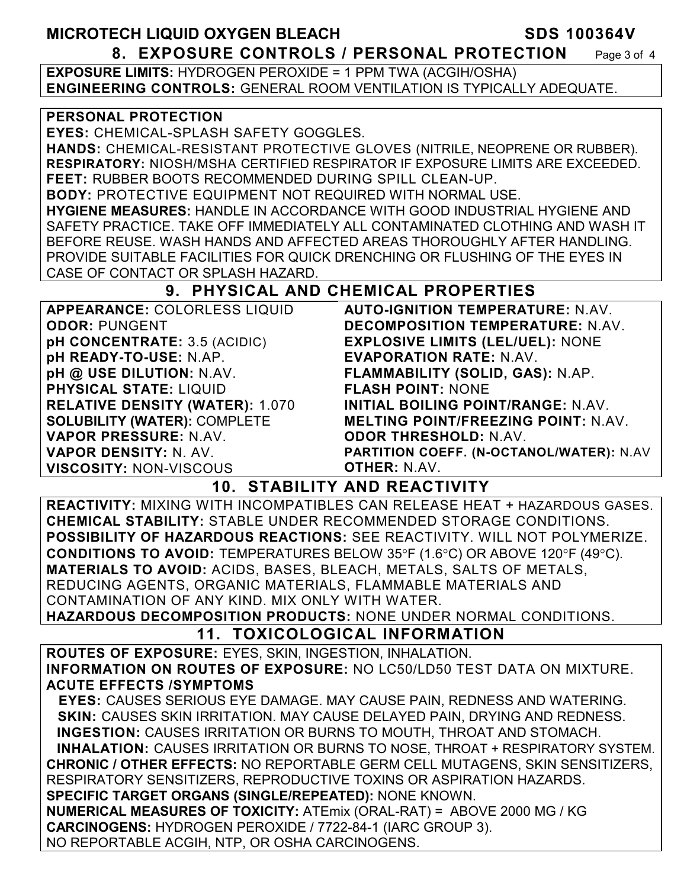## MICROTECH LIQUID OXYGEN BLEACH **SDS 100364V 8. EXPOSURE CONTROLS / PERSONAL PROTECTION** Page 3 of 4

**EXPOSURE LIMITS:** HYDROGEN PEROXIDE = 1 PPM TWA (ACGIH/OSHA) **ENGINEERING CONTROLS:** GENERAL ROOM VENTILATION IS TYPICALLY ADEQUATE.

#### **PERSONAL PROTECTION**

**EYES:** CHEMICAL-SPLASH SAFETY GOGGLES.

**HANDS:** CHEMICAL-RESISTANT PROTECTIVE GLOVES (NITRILE, NEOPRENE OR RUBBER). **RESPIRATORY:** NIOSH/MSHA CERTIFIED RESPIRATOR IF EXPOSURE LIMITS ARE EXCEEDED. **FEET:** RUBBER BOOTS RECOMMENDED DURING SPILL CLEAN-UP.

**BODY:** PROTECTIVE EQUIPMENT NOT REQUIRED WITH NORMAL USE.

**HYGIENE MEASURES:** HANDLE IN ACCORDANCE WITH GOOD INDUSTRIAL HYGIENE AND SAFETY PRACTICE. TAKE OFF IMMEDIATELY ALL CONTAMINATED CLOTHING AND WASH IT BEFORE REUSE. WASH HANDS AND AFFECTED AREAS THOROUGHLY AFTER HANDLING. PROVIDE SUITABLE FACILITIES FOR QUICK DRENCHING OR FLUSHING OF THE EYES IN CASE OF CONTACT OR SPLASH HAZARD.

## **9. PHYSICAL AND CHEMICAL PROPERTIES**

| APPEARANCE: COLORLESS LIQUID           | <b>AUTO-IGNITION TEMPERATURE: N.AV.</b>    |
|----------------------------------------|--------------------------------------------|
| <b>ODOR: PUNGENT</b>                   | DECOMPOSITION TEMPERATURE: N.AV.           |
| pH CONCENTRATE: 3.5 (ACIDIC)           | <b>EXPLOSIVE LIMITS (LEL/UEL): NONE</b>    |
| pH READY-TO-USE: N.AP.                 | <b>EVAPORATION RATE: N.AV.</b>             |
| pH @ USE DILUTION: N.AV.               | FLAMMABILITY (SOLID, GAS): N.AP.           |
| <b>PHYSICAL STATE: LIQUID</b>          | <b>FLASH POINT: NONE</b>                   |
| <b>RELATIVE DENSITY (WATER): 1.070</b> | INITIAL BOILING POINT/RANGE: N.AV.         |
| <b>SOLUBILITY (WATER): COMPLETE</b>    | <b>MELTING POINT/FREEZING POINT: N.AV.</b> |
| VAPOR PRESSURE: N.AV.                  | <b>ODOR THRESHOLD: N.AV.</b>               |
| <b>VAPOR DENSITY: N. AV.</b>           | PARTITION COEFF. (N-OCTANOL/WATER): N.AV   |
| <b>VISCOSITY: NON-VISCOUS</b>          | <b>OTHER: N.AV.</b>                        |

## **10. STABILITY AND REACTIVITY**

**REACTIVITY:** MIXING WITH INCOMPATIBLES CAN RELEASE HEAT + HAZARDOUS GASES. **CHEMICAL STABILITY:** STABLE UNDER RECOMMENDED STORAGE CONDITIONS. **POSSIBILITY OF HAZARDOUS REACTIONS:** SEE REACTIVITY. WILL NOT POLYMERIZE. **CONDITIONS TO AVOID:** TEMPERATURES BELOW 35°F (1.6°C) OR ABOVE 120°F (49°C). **MATERIALS TO AVOID:** ACIDS, BASES, BLEACH, METALS, SALTS OF METALS, REDUCING AGENTS, ORGANIC MATERIALS, FLAMMABLE MATERIALS AND CONTAMINATION OF ANY KIND. MIX ONLY WITH WATER.

**HAZARDOUS DECOMPOSITION PRODUCTS:** NONE UNDER NORMAL CONDITIONS.

## **11. TOXICOLOGICAL INFORMATION**

**ROUTES OF EXPOSURE:** EYES, SKIN, INGESTION, INHALATION. **INFORMATION ON ROUTES OF EXPOSURE:** NO LC50/LD50 TEST DATA ON MIXTURE. **ACUTE EFFECTS /SYMPTOMS**

 **EYES:** CAUSES SERIOUS EYE DAMAGE. MAY CAUSE PAIN, REDNESS AND WATERING. **SKIN:** CAUSES SKIN IRRITATION. MAY CAUSE DELAYED PAIN, DRYING AND REDNESS. **INGESTION:** CAUSES IRRITATION OR BURNS TO MOUTH, THROAT AND STOMACH. **INHALATION:** CAUSES IRRITATION OR BURNS TO NOSE, THROAT + RESPIRATORY SYSTEM. **CHRONIC / OTHER EFFECTS:** NO REPORTABLE GERM CELL MUTAGENS, SKIN SENSITIZERS, RESPIRATORY SENSITIZERS, REPRODUCTIVE TOXINS OR ASPIRATION HAZARDS.

**SPECIFIC TARGET ORGANS (SINGLE/REPEATED):** NONE KNOWN.

**NUMERICAL MEASURES OF TOXICITY:** ATEmix (ORAL-RAT) = ABOVE 2000 MG / KG **CARCINOGENS:** HYDROGEN PEROXIDE / 7722-84-1 (IARC GROUP 3). NO REPORTABLE ACGIH, NTP, OR OSHA CARCINOGENS.